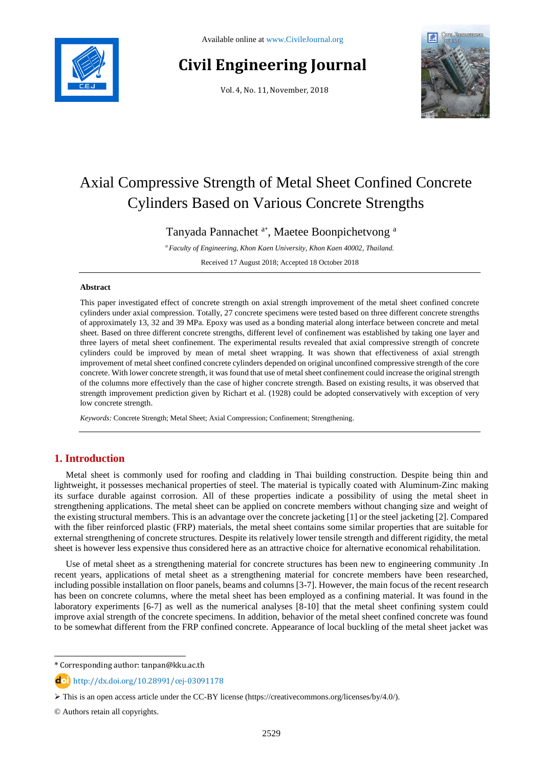

# **Civil Engineering Journal**

Vol. 4, No. 11, November, 2018



# Axial Compressive Strength of Metal Sheet Confined Concrete Cylinders Based on Various Concrete Strengths

Tanyada Pannachet <sup>a\*</sup>, Maetee Boonpichetvong<sup>a</sup>

*<sup>a</sup> Faculty of Engineering, Khon Kaen University, Khon Kaen 40002, Thailand.*

Received 17 August 2018; Accepted 18 October 2018

#### **Abstract**

This paper investigated effect of concrete strength on axial strength improvement of the metal sheet confined concrete cylinders under axial compression. Totally, 27 concrete specimens were tested based on three different concrete strengths of approximately 13, 32 and 39 MPa. Epoxy was used as a bonding material along interface between concrete and metal sheet. Based on three different concrete strengths, different level of confinement was established by taking one layer and three layers of metal sheet confinement. The experimental results revealed that axial compressive strength of concrete cylinders could be improved by mean of metal sheet wrapping. It was shown that effectiveness of axial strength improvement of metal sheet confined concrete cylinders depended on original unconfined compressive strength of the core concrete. With lower concrete strength, it was found that use of metal sheet confinement could increase the original strength of the columns more effectively than the case of higher concrete strength. Based on existing results, it was observed that strength improvement prediction given by Richart et al. (1928) could be adopted conservatively with exception of very low concrete strength.

*Keywords:* Concrete Strength; Metal Sheet; Axial Compression; Confinement; Strengthening.

# **1. Introduction**

Metal sheet is commonly used for roofing and cladding in Thai building construction. Despite being thin and lightweight, it possesses mechanical properties of steel. The material is typically coated with Aluminum-Zinc making its surface durable against corrosion. All of these properties indicate a possibility of using the metal sheet in strengthening applications. The metal sheet can be applied on concrete members without changing size and weight of the existing structural members. This is an advantage over the concrete jacketing [1] or the steel jacketing [2]. Compared with the fiber reinforced plastic (FRP) materials, the metal sheet contains some similar properties that are suitable for external strengthening of concrete structures. Despite its relatively lower tensile strength and different rigidity, the metal sheet is however less expensive thus considered here as an attractive choice for alternative economical rehabilitation.

Use of metal sheet as a strengthening material for concrete structures has been new to engineering community .In recent years, applications of metal sheet as a strengthening material for concrete members have been researched, including possible installation on floor panels, beams and columns [3-7]. However, the main focus of the recent research has been on concrete columns, where the metal sheet has been employed as a confining material. It was found in the laboratory experiments [6-7] as well as the numerical analyses [8-10] that the metal sheet confining system could improve axial strength of the concrete specimens. In addition, behavior of the metal sheet confined concrete was found to be somewhat different from the FRP confined concrete. Appearance of local buckling of the metal sheet jacket was

l

<sup>\*</sup> Corresponding author: tanpan@kku.ac.th

http://dx.doi.org/10.28991/cej-03091178

This is an open access article under the CC-BY license [\(https://creativecommons.org/licenses/by/4.0/\)](https://creativecommons.org/licenses/by/4.0/).

<sup>©</sup> Authors retain all copyrights.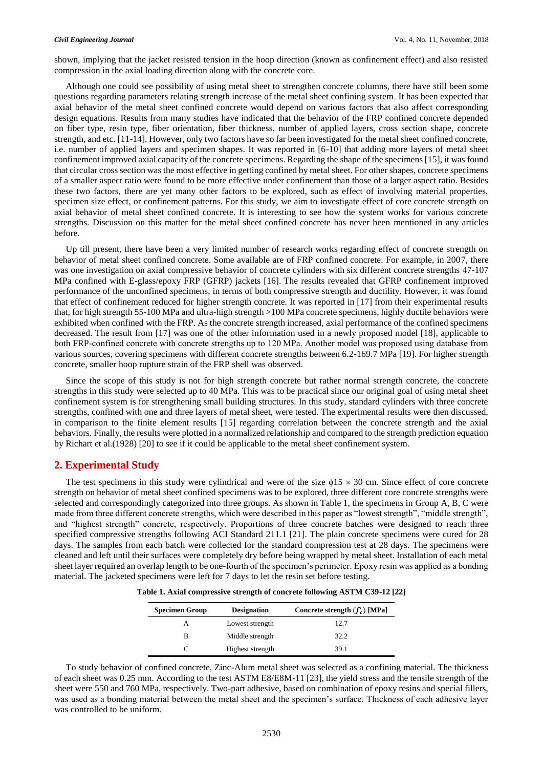shown, implying that the jacket resisted tension in the hoop direction (known as confinement effect) and also resisted compression in the axial loading direction along with the concrete core.

Although one could see possibility of using metal sheet to strengthen concrete columns, there have still been some questions regarding parameters relating strength increase of the metal sheet confining system. It has been expected that axial behavior of the metal sheet confined concrete would depend on various factors that also affect corresponding design equations. Results from many studies have indicated that the behavior of the FRP confined concrete depended on fiber type, resin type, fiber orientation, fiber thickness, number of applied layers, cross section shape, concrete strength, and etc. [11-14]. However, only two factors have so far been investigated for the metal sheet confined concrete, i.e. number of applied layers and specimen shapes. It was reported in [6-10] that adding more layers of metal sheet confinement improved axial capacity of the concrete specimens. Regarding the shape of the specimens [15], it was found that circular cross section was the most effective in getting confined by metal sheet. For other shapes, concrete specimens of a smaller aspect ratio were found to be more effective under confinement than those of a larger aspect ratio. Besides these two factors, there are yet many other factors to be explored, such as effect of involving material properties, specimen size effect, or confinement patterns. For this study, we aim to investigate effect of core concrete strength on axial behavior of metal sheet confined concrete. It is interesting to see how the system works for various concrete strengths. Discussion on this matter for the metal sheet confined concrete has never been mentioned in any articles before.

Up till present, there have been a very limited number of research works regarding effect of concrete strength on behavior of metal sheet confined concrete. Some available are of FRP confined concrete. For example, in 2007, there was one investigation on axial compressive behavior of concrete cylinders with six different concrete strengths 47-107 MPa confined with E-glass/epoxy FRP (GFRP) jackets [16]. The results revealed that GFRP confinement improved performance of the unconfined specimens, in terms of both compressive strength and ductility. However, it was found that effect of confinement reduced for higher strength concrete. It was reported in [17] from their experimental results that, for high strength 55-100 MPa and ultra-high strength >100 MPa concrete specimens, highly ductile behaviors were exhibited when confined with the FRP. As the concrete strength increased, axial performance of the confined specimens decreased. The result from [17] was one of the other information used in a newly proposed model [18], applicable to both FRP-confined concrete with concrete strengths up to 120 MPa. Another model was proposed using database from various sources, covering specimens with different concrete strengths between 6.2-169.7 MPa [19]. For higher strength concrete, smaller hoop rupture strain of the FRP shell was observed.

Since the scope of this study is not for high strength concrete but rather normal strength concrete, the concrete strengths in this study were selected up to 40 MPa. This was to be practical since our original goal of using metal sheet confinement system is for strengthening small building structures. In this study, standard cylinders with three concrete strengths, confined with one and three layers of metal sheet, were tested. The experimental results were then discussed, in comparison to the finite element results [15] regarding correlation between the concrete strength and the axial behaviors. Finally, the results were plotted in a normalized relationship and compared to the strength prediction equation by Richart et al.(1928) [20] to see if it could be applicable to the metal sheet confinement system.

# **2. Experimental Study**

The test specimens in this study were cylindrical and were of the size  $\phi$ 15  $\times$  30 cm. Since effect of core concrete strength on behavior of metal sheet confined specimens was to be explored, three different core concrete strengths were selected and correspondingly categorized into three groups. As shown in Table 1, the specimens in Group A, B, C were made from three different concrete strengths, which were described in this paper as "lowest strength", "middle strength", and "highest strength" concrete, respectively. Proportions of three concrete batches were designed to reach three specified compressive strengths following ACI Standard 211.1 [21]. The plain concrete specimens were cured for 28 days. The samples from each batch were collected for the standard compression test at 28 days. The specimens were cleaned and left until their surfaces were completely dry before being wrapped by metal sheet. Installation of each metal sheet layer required an overlap length to be one-fourth of the specimen's perimeter. Epoxy resin was applied as a bonding material. The jacketed specimens were left for 7 days to let the resin set before testing.

**Table 1. Axial compressive strength of concrete following ASTM C39-12 [22]**

| <b>Specimen Group</b> | <b>Designation</b> | Concrete strength $(f'_c)$ [MPa] |
|-----------------------|--------------------|----------------------------------|
|                       | Lowest strength    | 12.7                             |
| R                     | Middle strength    | 32.2                             |
|                       | Highest strength   | 39.1                             |

To study behavior of confined concrete, Zinc-Alum metal sheet was selected as a confining material. The thickness of each sheet was 0.25 mm. According to the test ASTM E8/E8M-11 [23], the yield stress and the tensile strength of the sheet were 550 and 760 MPa, respectively. Two-part adhesive, based on combination of epoxy resins and special fillers, was used as a bonding material between the metal sheet and the specimen's surface. Thickness of each adhesive layer was controlled to be uniform.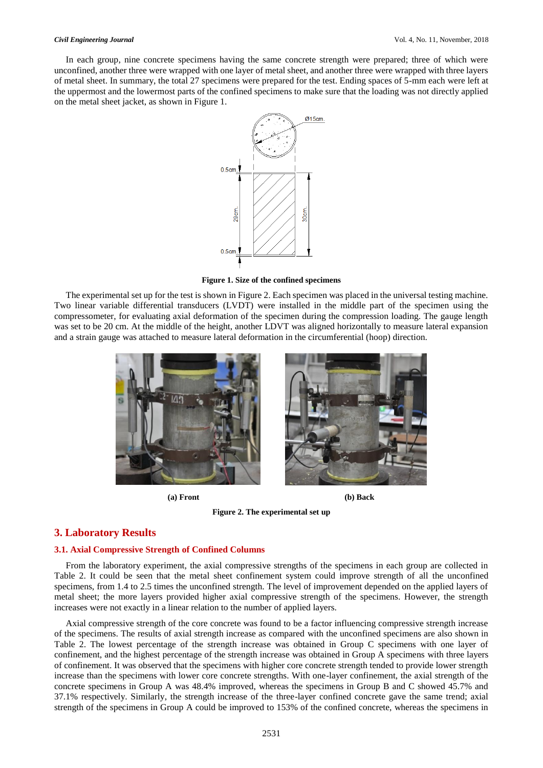In each group, nine concrete specimens having the same concrete strength were prepared; three of which were unconfined, another three were wrapped with one layer of metal sheet, and another three were wrapped with three layers of metal sheet. In summary, the total 27 specimens were prepared for the test. Ending spaces of 5-mm each were left at the uppermost and the lowermost parts of the confined specimens to make sure that the loading was not directly applied on the metal sheet jacket, as shown in Figure 1.



**Figure 1. Size of the confined specimens**

The experimental set up for the test is shown in Figure 2. Each specimen was placed in the universal testing machine. Two linear variable differential transducers (LVDT) were installed in the middle part of the specimen using the compressometer, for evaluating axial deformation of the specimen during the compression loading. The gauge length was set to be 20 cm. At the middle of the height, another LDVT was aligned horizontally to measure lateral expansion and a strain gauge was attached to measure lateral deformation in the circumferential (hoop) direction.





**Figure 2. The experimental set up**

# **3. Laboratory Results**

#### **3.1. Axial Compressive Strength of Confined Columns**

From the laboratory experiment, the axial compressive strengths of the specimens in each group are collected in Table 2. It could be seen that the metal sheet confinement system could improve strength of all the unconfined specimens, from 1.4 to 2.5 times the unconfined strength. The level of improvement depended on the applied layers of metal sheet; the more layers provided higher axial compressive strength of the specimens. However, the strength increases were not exactly in a linear relation to the number of applied layers.

Axial compressive strength of the core concrete was found to be a factor influencing compressive strength increase of the specimens. The results of axial strength increase as compared with the unconfined specimens are also shown in Table 2. The lowest percentage of the strength increase was obtained in Group C specimens with one layer of confinement, and the highest percentage of the strength increase was obtained in Group A specimens with three layers of confinement. It was observed that the specimens with higher core concrete strength tended to provide lower strength increase than the specimens with lower core concrete strengths. With one-layer confinement, the axial strength of the concrete specimens in Group A was 48.4% improved, whereas the specimens in Group B and C showed 45.7% and 37.1% respectively. Similarly, the strength increase of the three-layer confined concrete gave the same trend; axial strength of the specimens in Group A could be improved to 153% of the confined concrete, whereas the specimens in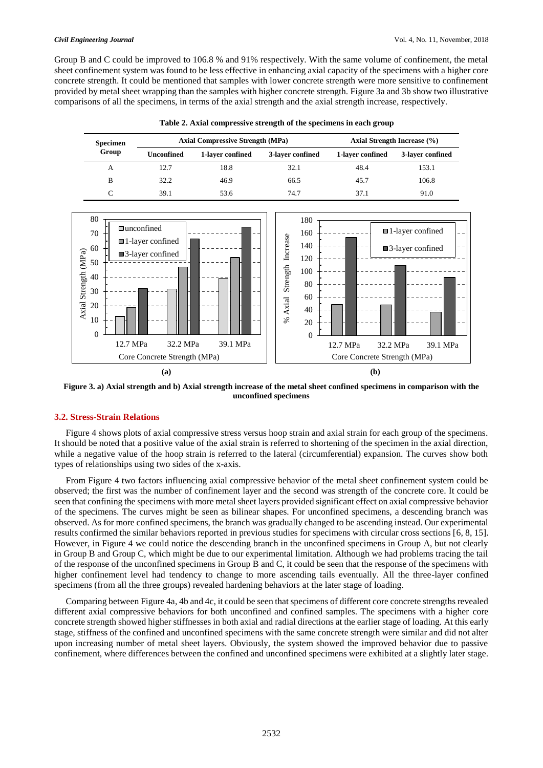Group B and C could be improved to 106.8 % and 91% respectively. With the same volume of confinement, the metal sheet confinement system was found to be less effective in enhancing axial capacity of the specimens with a higher core concrete strength. It could be mentioned that samples with lower concrete strength were more sensitive to confinement provided by metal sheet wrapping than the samples with higher concrete strength. Figure 3a and 3b show two illustrative comparisons of all the specimens, in terms of the axial strength and the axial strength increase, respectively.

| <b>Specimen</b><br>Group | <b>Axial Compressive Strength (MPa)</b> |                  | Axial Strength Increase (%) |                  |                  |
|--------------------------|-----------------------------------------|------------------|-----------------------------|------------------|------------------|
|                          | <b>Unconfined</b>                       | 1-layer confined | 3-layer confined            | 1-layer confined | 3-laver confined |
| A                        | 12.7                                    | 18.8             | 32.1                        | 48.4             | 153.1            |
| B                        | 32.2                                    | 46.9             | 66.5                        | 45.7             | 106.8            |
|                          | 39.1                                    | 53.6             | 74.7                        | 37.1             | 91.0             |

**Table 2. Axial compressive strength of the specimens in each group**



**Figure 3. a) Axial strength and b) Axial strength increase of the metal sheet confined specimens in comparison with the unconfined specimens**

## **3.2. Stress-Strain Relations**

Figure 4 shows plots of axial compressive stress versus hoop strain and axial strain for each group of the specimens. It should be noted that a positive value of the axial strain is referred to shortening of the specimen in the axial direction, while a negative value of the hoop strain is referred to the lateral (circumferential) expansion. The curves show both types of relationships using two sides of the x-axis.

From Figure 4 two factors influencing axial compressive behavior of the metal sheet confinement system could be observed; the first was the number of confinement layer and the second was strength of the concrete core. It could be seen that confining the specimens with more metal sheet layers provided significant effect on axial compressive behavior of the specimens. The curves might be seen as bilinear shapes. For unconfined specimens, a descending branch was observed. As for more confined specimens, the branch was gradually changed to be ascending instead. Our experimental results confirmed the similar behaviors reported in previous studies for specimens with circular cross sections [6, 8, 15]. However, in Figure 4 we could notice the descending branch in the unconfined specimens in Group A, but not clearly in Group B and Group C, which might be due to our experimental limitation. Although we had problems tracing the tail of the response of the unconfined specimens in Group B and C, it could be seen that the response of the specimens with higher confinement level had tendency to change to more ascending tails eventually. All the three-layer confined specimens (from all the three groups) revealed hardening behaviors at the later stage of loading.

Comparing between Figure 4a, 4b and 4c, it could be seen that specimens of different core concrete strengths revealed different axial compressive behaviors for both unconfined and confined samples. The specimens with a higher core concrete strength showed higher stiffnesses in both axial and radial directions at the earlier stage of loading. At this early stage, stiffness of the confined and unconfined specimens with the same concrete strength were similar and did not alter upon increasing number of metal sheet layers. Obviously, the system showed the improved behavior due to passive confinement, where differences between the confined and unconfined specimens were exhibited at a slightly later stage.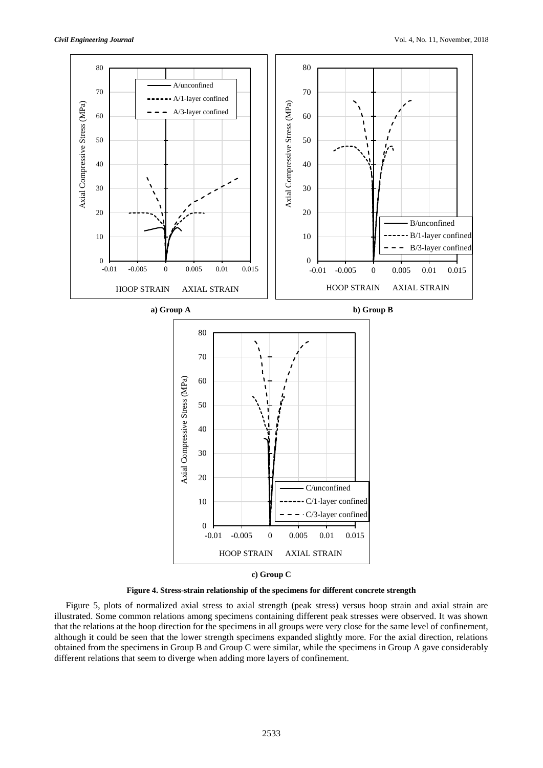

**Figure 4. Stress-strain relationship of the specimens for different concrete strength**

Figure 5, plots of normalized axial stress to axial strength (peak stress) versus hoop strain and axial strain are illustrated. Some common relations among specimens containing different peak stresses were observed. It was shown that the relations at the hoop direction for the specimens in all groups were very close for the same level of confinement, although it could be seen that the lower strength specimens expanded slightly more. For the axial direction, relations obtained from the specimens in Group B and Group C were similar, while the specimens in Group A gave considerably different relations that seem to diverge when adding more layers of confinement.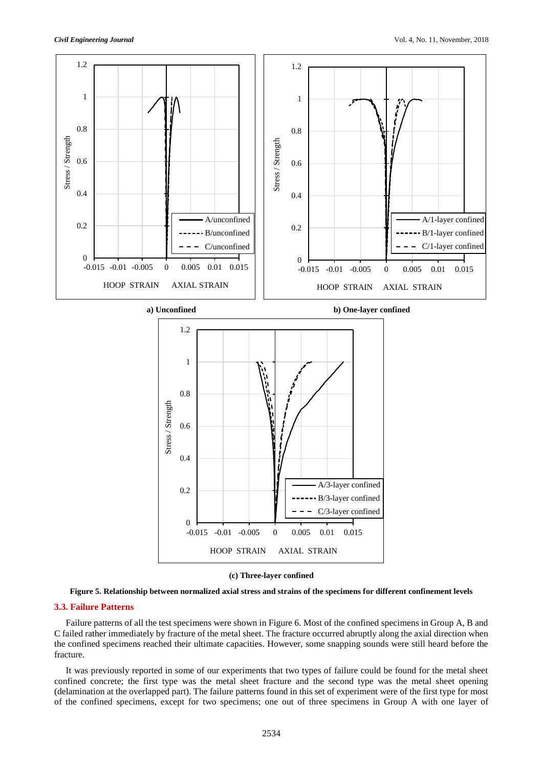

#### **(c) Three-layer confined**



### **3.3. Failure Patterns**

Failure patterns of all the test specimens were shown in Figure 6. Most of the confined specimens in Group A, B and C failed rather immediately by fracture of the metal sheet. The fracture occurred abruptly along the axial direction when the confined specimens reached their ultimate capacities. However, some snapping sounds were still heard before the fracture.

It was previously reported in some of our experiments that two types of failure could be found for the metal sheet confined concrete; the first type was the metal sheet fracture and the second type was the metal sheet opening (delamination at the overlapped part). The failure patterns found in this set of experiment were of the first type for most of the confined specimens, except for two specimens; one out of three specimens in Group A with one layer of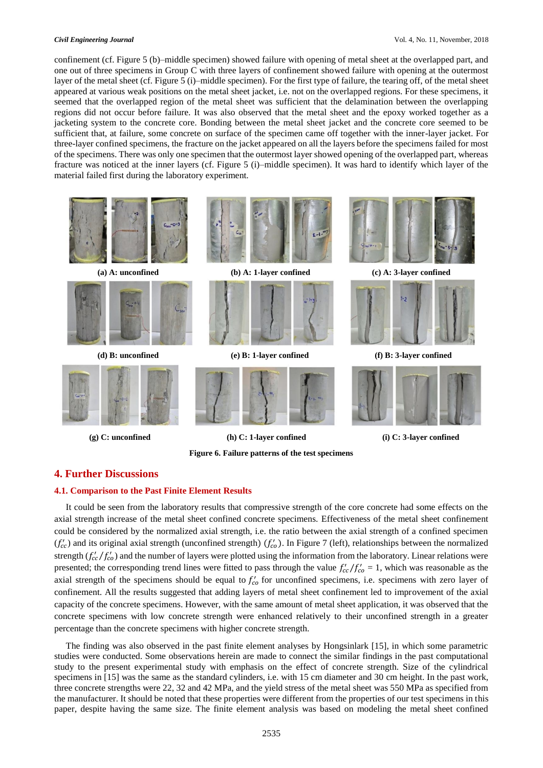confinement (cf. Figure 5 (b)–middle specimen) showed failure with opening of metal sheet at the overlapped part, and one out of three specimens in Group C with three layers of confinement showed failure with opening at the outermost layer of the metal sheet (cf. Figure 5 (i)–middle specimen). For the first type of failure, the tearing off, of the metal sheet appeared at various weak positions on the metal sheet jacket, i.e. not on the overlapped regions. For these specimens, it seemed that the overlapped region of the metal sheet was sufficient that the delamination between the overlapping regions did not occur before failure. It was also observed that the metal sheet and the epoxy worked together as a jacketing system to the concrete core. Bonding between the metal sheet jacket and the concrete core seemed to be sufficient that, at failure, some concrete on surface of the specimen came off together with the inner-layer jacket. For three-layer confined specimens, the fracture on the jacket appeared on all the layers before the specimens failed for most of the specimens. There was only one specimen that the outermost layer showed opening of the overlapped part, whereas fracture was noticed at the inner layers (cf. Figure 5 (i)–middle specimen). It was hard to identify which layer of the material failed first during the laboratory experiment.



**Figure 6. Failure patterns of the test specimens**



### **4. Further Discussions**

#### **4.1. Comparison to the Past Finite Element Results**

It could be seen from the laboratory results that compressive strength of the core concrete had some effects on the axial strength increase of the metal sheet confined concrete specimens. Effectiveness of the metal sheet confinement could be considered by the normalized axial strength, i.e. the ratio between the axial strength of a confined specimen  $(f'_{cc})$  and its original axial strength (unconfined strength)  $(f'_{co})$ . In Figure 7 (left), relationships between the normalized strength  $(f'_{cc}/f'_{co})$  and the number of layers were plotted using the information from the laboratory. Linear relations were presented; the corresponding trend lines were fitted to pass through the value  $f'_{cc}/f'_{co} = 1$ , which was reasonable as the axial strength of the specimens should be equal to  $f'_{co}$  for unconfined specimens, i.e. specimens with zero layer of confinement. All the results suggested that adding layers of metal sheet confinement led to improvement of the axial capacity of the concrete specimens. However, with the same amount of metal sheet application, it was observed that the concrete specimens with low concrete strength were enhanced relatively to their unconfined strength in a greater percentage than the concrete specimens with higher concrete strength.

The finding was also observed in the past finite element analyses by Hongsinlark [15], in which some parametric studies were conducted. Some observations herein are made to connect the similar findings in the past computational study to the present experimental study with emphasis on the effect of concrete strength. Size of the cylindrical specimens in [15] was the same as the standard cylinders, i.e. with 15 cm diameter and 30 cm height. In the past work, three concrete strengths were 22, 32 and 42 MPa, and the yield stress of the metal sheet was 550 MPa as specified from the manufacturer. It should be noted that these properties were different from the properties of our test specimens in this paper, despite having the same size. The finite element analysis was based on modeling the metal sheet confined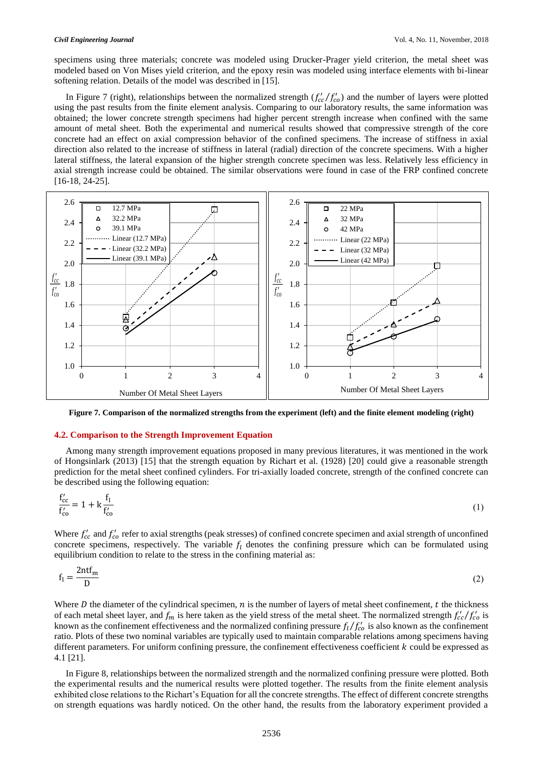specimens using three materials; concrete was modeled using Drucker-Prager yield criterion, the metal sheet was modeled based on Von Mises yield criterion, and the epoxy resin was modeled using interface elements with bi-linear softening relation. Details of the model was described in [15].

In Figure 7 (right), relationships between the normalized strength  $(f'_{cc}/f'_{co})$  and the number of layers were plotted using the past results from the finite element analysis. Comparing to our laboratory results, the same information was obtained; the lower concrete strength specimens had higher percent strength increase when confined with the same amount of metal sheet. Both the experimental and numerical results showed that compressive strength of the core concrete had an effect on axial compression behavior of the confined specimens. The increase of stiffness in axial direction also related to the increase of stiffness in lateral (radial) direction of the concrete specimens. With a higher lateral stiffness, the lateral expansion of the higher strength concrete specimen was less. Relatively less efficiency in axial strength increase could be obtained. The similar observations were found in case of the FRP confined concrete [16-18, 24-25].



**Figure 7. Comparison of the normalized strengths from the experiment (left) and the finite element modeling (right)**

#### **4.2. Comparison to the Strength Improvement Equation**

Among many strength improvement equations proposed in many previous literatures, it was mentioned in the work of Hongsinlark (2013) [15] that the strength equation by Richart et al. (1928) [20] could give a reasonable strength prediction for the metal sheet confined cylinders. For tri-axially loaded concrete, strength of the confined concrete can be described using the following equation:

$$
\frac{f'_{cc}}{f'_{co}} = 1 + k \frac{f_1}{f'_{co}} \tag{1}
$$

Where  $f'_{cc}$  and  $f'_{co}$  refer to axial strengths (peak stresses) of confined concrete specimen and axial strength of unconfined concrete specimens, respectively. The variable  $f_l$  denotes the confining pressure which can be formulated using equilibrium condition to relate to the stress in the confining material as:

$$
f_1 = \frac{2ntf_m}{D} \tag{2}
$$

Where  $D$  the diameter of the cylindrical specimen,  $n$  is the number of layers of metal sheet confinement,  $t$  the thickness of each metal sheet layer, and  $f_m$  is here taken as the yield stress of the metal sheet. The normalized strength  $f'_{cc}/f'_{co}$  is known as the confinement effectiveness and the normalized confining pressure  $f_l/f_{co}$  is also known as the confinement ratio. Plots of these two nominal variables are typically used to maintain comparable relations among specimens having different parameters. For uniform confining pressure, the confinement effectiveness coefficient  $k$  could be expressed as 4.1 [21].

In Figure 8, relationships between the normalized strength and the normalized confining pressure were plotted. Both the experimental results and the numerical results were plotted together. The results from the finite element analysis exhibited close relations to the Richart's Equation for all the concrete strengths. The effect of different concrete strengths on strength equations was hardly noticed. On the other hand, the results from the laboratory experiment provided a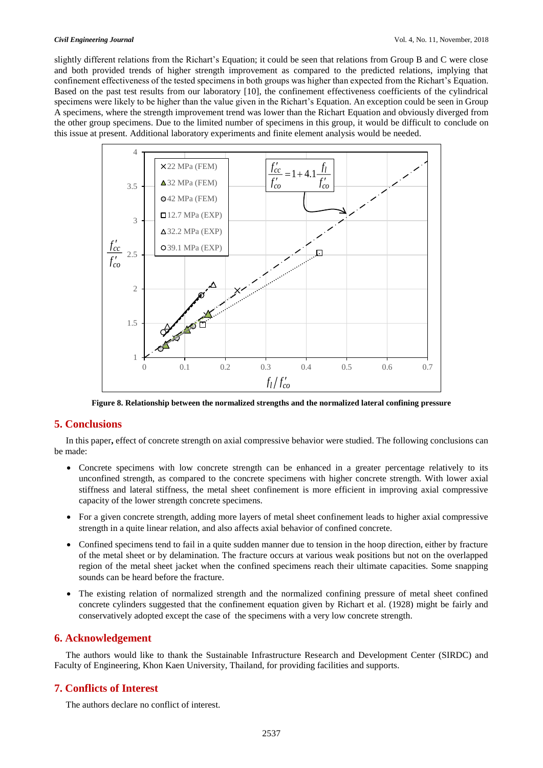slightly different relations from the Richart's Equation; it could be seen that relations from Group B and C were close and both provided trends of higher strength improvement as compared to the predicted relations, implying that confinement effectiveness of the tested specimens in both groups was higher than expected from the Richart's Equation. Based on the past test results from our laboratory [10], the confinement effectiveness coefficients of the cylindrical specimens were likely to be higher than the value given in the Richart's Equation. An exception could be seen in Group A specimens, where the strength improvement trend was lower than the Richart Equation and obviously diverged from the other group specimens. Due to the limited number of specimens in this group, it would be difficult to conclude on this issue at present. Additional laboratory experiments and finite element analysis would be needed.



**Figure 8. Relationship between the normalized strengths and the normalized lateral confining pressure**

## **5. Conclusions**

In this paper**,** effect of concrete strength on axial compressive behavior were studied. The following conclusions can be made:

- Concrete specimens with low concrete strength can be enhanced in a greater percentage relatively to its unconfined strength, as compared to the concrete specimens with higher concrete strength. With lower axial stiffness and lateral stiffness, the metal sheet confinement is more efficient in improving axial compressive capacity of the lower strength concrete specimens.
- For a given concrete strength, adding more layers of metal sheet confinement leads to higher axial compressive strength in a quite linear relation, and also affects axial behavior of confined concrete.
- Confined specimens tend to fail in a quite sudden manner due to tension in the hoop direction, either by fracture of the metal sheet or by delamination. The fracture occurs at various weak positions but not on the overlapped region of the metal sheet jacket when the confined specimens reach their ultimate capacities. Some snapping sounds can be heard before the fracture.
- The existing relation of normalized strength and the normalized confining pressure of metal sheet confined concrete cylinders suggested that the confinement equation given by Richart et al. (1928) might be fairly and conservatively adopted except the case of the specimens with a very low concrete strength.

# **6. Acknowledgement**

The authors would like to thank the Sustainable Infrastructure Research and Development Center (SIRDC) and Faculty of Engineering, Khon Kaen University, Thailand, for providing facilities and supports.

# **7. Conflicts of Interest**

The authors declare no conflict of interest.